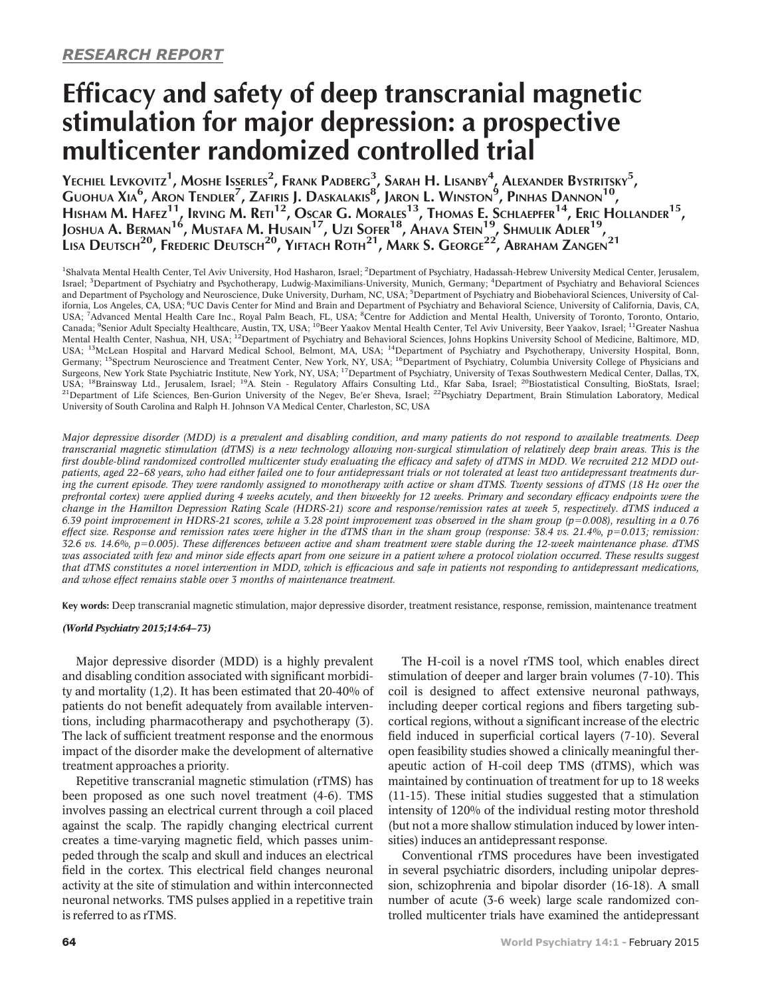# Efficacy and safety of deep transcranial magnetic stimulation for major depression: a prospective multicenter randomized controlled trial

Yechiel Levkovitz<sup>1</sup>, Moshe Is<u>s</u>erles<sup>2</sup>, Frank Padberg $^3$ , Sarah H. Lisanby $^4_{\phantom{1}L}$  Alexander Bystritsky<sup>5</sup>, Guohua Xia $^6$ , Aron Tendler<sup>7</sup>, Zafiris J. Daskalakis $^8$ , Jaron L. Winston $^9$ , Pinhas Dannon $^{10}$ , HISHAM M. HAFEZ<sup>11</sup>, Irving M. Reti<sup>12</sup>, Oscar G. Morales<sup>13</sup>, Thomas E. Schlaepfer<sup>14</sup>, Eric Hollander<sup>15</sup>, Joshua A. Berman $^{16}$ , Mustafa M. Husain $^{17}$ , Uzi Sofer $^{18}$ , Ahava Stein $^{19}$ , Shmulik Adler $^{19}$ , Lisa Deutsch<sup>20</sup>, Frederic Deutsch<sup>20</sup>, Yiftach Roth<sup>21</sup>, Mark S. George<sup>22'</sup>, Abraham Zangen<sup>21</sup>

<sup>1</sup>Shalvata Mental Health Center, Tel Aviv University, Hod Hasharon, Israel; <sup>2</sup>Department of Psychiatry, Hadassah-Hebrew University Medical Center, Jerusalem, Israel; <sup>3</sup>Department of Psychiatry and Psychotherapy, Ludwig-Maximilians-University, Munich, Germany; <sup>4</sup>Department of Psychiatry and Behavioral Sciences and Department of Psychology and Neuroscience, Duke University, Durham, NC, USA; <sup>5</sup>Department of Psychiatry and Biobehavioral Sciences, University of California, Los Angeles, CA, USA; <sup>6</sup>UC Davis Center for Mind and Brain and Department of Psychiatry and Behavioral Science, University of California, Davis, CA, USA; <sup>7</sup>Advanced Mental Health Care Inc., Royal Palm Beach, FL, USA; <sup>8</sup>Centre for Addiction and Mental Health, University of Toronto, Toronto, Ontario, Canada; <sup>9</sup>Senior Adult Specialty Healthcare, Austin, TX, USA; <sup>10</sup>Beer Yaakov Mental Health Center, Tel Aviv University, Beer Yaakov, Israel; <sup>11</sup>Greater Nashua Mental Health Center, Nashua, NH, USA; <sup>12</sup>Department of Psychiatry and Behavioral Sciences, Johns Hopkins University School of Medicine, Baltimore, MD, USA; 13McLean Hospital and Harvard Medical School, Belmont, MA, USA; 14Department of Psychiatry and Psychotherapy, University Hospital, Bonn, Germany; <sup>15</sup>Spectrum Neuroscience and Treatment Center, New York, NY, USA; <sup>16</sup>Department of Psychiatry, Columbia University College of Physicians and Surgeons, New York State Psychiatric Institute, New York, NY, USA; 17Department of Psychiatry, University of Texas Southwestern Medical Center, Dallas, TX, USA; 18Brainsway Ltd., Jerusalem, Israel; 19A. Stein - Regulatory Affairs Consulting Ltd., Kfar Saba, Israel; 20Biostatistical Consulting, BioStats, Israel;  $^{21}$ Department of Life Sciences, Ben-Gurion University of the Negev, Be'er Sheva, Israel;  $^{22}$ Psychiatry Department, Brain Stimulation Laboratory, Medical University of South Carolina and Ralph H. Johnson VA Medical Center, Charleston, SC, USA

Major depressive disorder (MDD) is a prevalent and disabling condition, and many patients do not respond to available treatments. Deep transcranial magnetic stimulation (dTMS) is a new technology allowing non-surgical stimulation of relatively deep brain areas. This is the first double-blind randomized controlled multicenter study evaluating the efficacy and safety of dTMS in MDD. We recruited 212 MDD outpatients, aged 22–68 years, who had either failed one to four antidepressant trials or not tolerated at least two antidepressant treatments during the current episode. They were randomly assigned to monotherapy with active or sham dTMS. Twenty sessions of dTMS (18 Hz over the prefrontal cortex) were applied during 4 weeks acutely, and then biweekly for 12 weeks. Primary and secondary efficacy endpoints were the change in the Hamilton Depression Rating Scale (HDRS-21) score and response/remission rates at week 5, respectively. dTMS induced a 6.39 point improvement in HDRS-21 scores, while a 3.28 point improvement was observed in the sham group ( $p=0.008$ ), resulting in a 0.76 effect size. Response and remission rates were higher in the dTMS than in the sham group (response:  $38.4$  vs.  $21.4\%$ ,  $p=0.013$ ; remission: 32.6 vs. 14.6%,  $p=0.005$ ). These differences between active and sham treatment were stable during the 12-week maintenance phase.  $dTMS$ was associated with few and minor side effects apart from one seizure in a patient where a protocol violation occurred. These results suggest that dTMS constitutes a novel intervention in MDD, which is efficacious and safe in patients not responding to antidepressant medications, and whose effect remains stable over 3 months of maintenance treatment.

Key words: Deep transcranial magnetic stimulation, major depressive disorder, treatment resistance, response, remission, maintenance treatment

# (World Psychiatry 2015;14:64–73)

Major depressive disorder (MDD) is a highly prevalent and disabling condition associated with significant morbidity and mortality (1,2). It has been estimated that 20-40% of patients do not benefit adequately from available interventions, including pharmacotherapy and psychotherapy (3). The lack of sufficient treatment response and the enormous impact of the disorder make the development of alternative treatment approaches a priority.

Repetitive transcranial magnetic stimulation (rTMS) has been proposed as one such novel treatment (4-6). TMS involves passing an electrical current through a coil placed against the scalp. The rapidly changing electrical current creates a time-varying magnetic field, which passes unimpeded through the scalp and skull and induces an electrical field in the cortex. This electrical field changes neuronal activity at the site of stimulation and within interconnected neuronal networks. TMS pulses applied in a repetitive train is referred to as rTMS.

The H-coil is a novel rTMS tool, which enables direct stimulation of deeper and larger brain volumes (7-10). This coil is designed to affect extensive neuronal pathways, including deeper cortical regions and fibers targeting subcortical regions, without a significant increase of the electric field induced in superficial cortical layers (7-10). Several open feasibility studies showed a clinically meaningful therapeutic action of H-coil deep TMS (dTMS), which was maintained by continuation of treatment for up to 18 weeks (11-15). These initial studies suggested that a stimulation intensity of 120% of the individual resting motor threshold (but not a more shallow stimulation induced by lower intensities) induces an antidepressant response.

Conventional rTMS procedures have been investigated in several psychiatric disorders, including unipolar depression, schizophrenia and bipolar disorder (16-18). A small number of acute (3-6 week) large scale randomized controlled multicenter trials have examined the antidepressant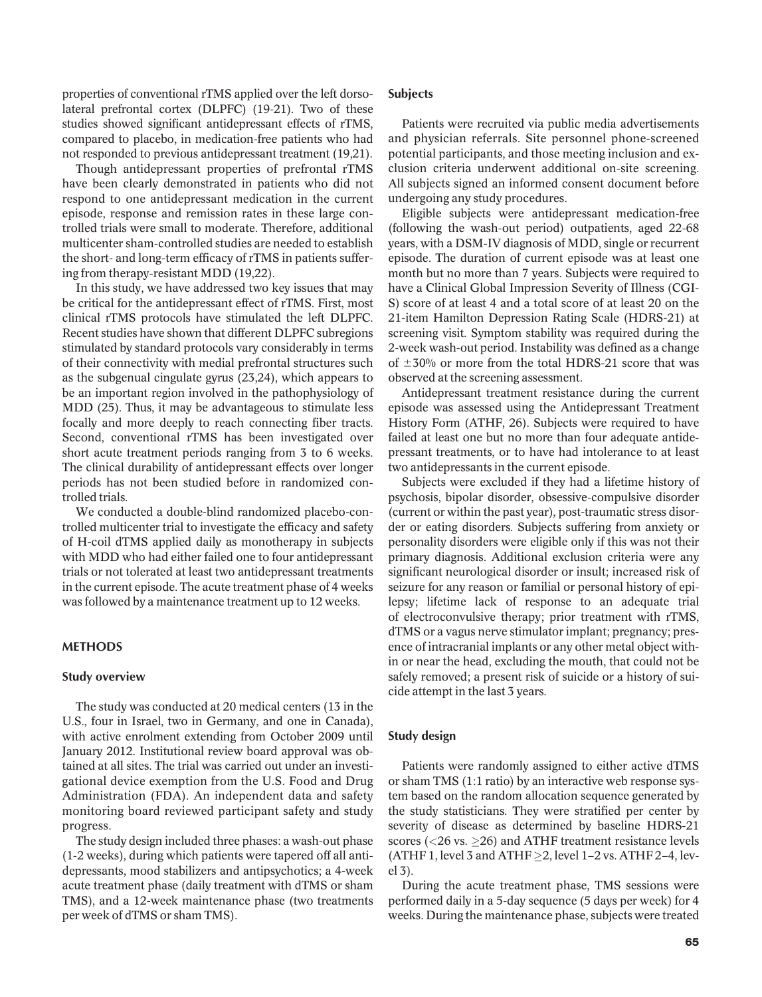properties of conventional rTMS applied over the left dorsolateral prefrontal cortex (DLPFC) (19-21). Two of these studies showed significant antidepressant effects of rTMS, compared to placebo, in medication-free patients who had not responded to previous antidepressant treatment (19,21).

Though antidepressant properties of prefrontal rTMS have been clearly demonstrated in patients who did not respond to one antidepressant medication in the current episode, response and remission rates in these large controlled trials were small to moderate. Therefore, additional multicenter sham-controlled studies are needed to establish the short- and long-term efficacy of rTMS in patients suffering from therapy-resistant MDD (19,22).

In this study, we have addressed two key issues that may be critical for the antidepressant effect of rTMS. First, most clinical rTMS protocols have stimulated the left DLPFC. Recent studies have shown that different DLPFC subregions stimulated by standard protocols vary considerably in terms of their connectivity with medial prefrontal structures such as the subgenual cingulate gyrus (23,24), which appears to be an important region involved in the pathophysiology of MDD (25). Thus, it may be advantageous to stimulate less focally and more deeply to reach connecting fiber tracts. Second, conventional rTMS has been investigated over short acute treatment periods ranging from 3 to 6 weeks. The clinical durability of antidepressant effects over longer periods has not been studied before in randomized controlled trials.

We conducted a double-blind randomized placebo-controlled multicenter trial to investigate the efficacy and safety of H-coil dTMS applied daily as monotherapy in subjects with MDD who had either failed one to four antidepressant trials or not tolerated at least two antidepressant treatments in the current episode. The acute treatment phase of 4 weeks was followed by a maintenance treatment up to 12 weeks.

#### **METHODS**

#### Study overview

The study was conducted at 20 medical centers (13 in the U.S., four in Israel, two in Germany, and one in Canada), with active enrolment extending from October 2009 until January 2012. Institutional review board approval was obtained at all sites. The trial was carried out under an investigational device exemption from the U.S. Food and Drug Administration (FDA). An independent data and safety monitoring board reviewed participant safety and study progress.

The study design included three phases: a wash-out phase (1-2 weeks), during which patients were tapered off all antidepressants, mood stabilizers and antipsychotics; a 4-week acute treatment phase (daily treatment with dTMS or sham TMS), and a 12-week maintenance phase (two treatments per week of dTMS or sham TMS).

## **Subjects**

Patients were recruited via public media advertisements and physician referrals. Site personnel phone-screened potential participants, and those meeting inclusion and exclusion criteria underwent additional on-site screening. All subjects signed an informed consent document before undergoing any study procedures.

Eligible subjects were antidepressant medication-free (following the wash-out period) outpatients, aged 22-68 years, with a DSM-IV diagnosis of MDD, single or recurrent episode. The duration of current episode was at least one month but no more than 7 years. Subjects were required to have a Clinical Global Impression Severity of Illness (CGI-S) score of at least 4 and a total score of at least 20 on the 21-item Hamilton Depression Rating Scale (HDRS-21) at screening visit. Symptom stability was required during the 2-week wash-out period. Instability was defined as a change of  $\pm 30\%$  or more from the total HDRS-21 score that was observed at the screening assessment.

Antidepressant treatment resistance during the current episode was assessed using the Antidepressant Treatment History Form (ATHF, 26). Subjects were required to have failed at least one but no more than four adequate antidepressant treatments, or to have had intolerance to at least two antidepressants in the current episode.

Subjects were excluded if they had a lifetime history of psychosis, bipolar disorder, obsessive-compulsive disorder (current or within the past year), post-traumatic stress disorder or eating disorders. Subjects suffering from anxiety or personality disorders were eligible only if this was not their primary diagnosis. Additional exclusion criteria were any significant neurological disorder or insult; increased risk of seizure for any reason or familial or personal history of epilepsy; lifetime lack of response to an adequate trial of electroconvulsive therapy; prior treatment with rTMS, dTMS or a vagus nerve stimulator implant; pregnancy; presence of intracranial implants or any other metal object within or near the head, excluding the mouth, that could not be safely removed; a present risk of suicide or a history of suicide attempt in the last 3 years.

#### Study design

Patients were randomly assigned to either active dTMS or sham TMS (1:1 ratio) by an interactive web response system based on the random allocation sequence generated by the study statisticians. They were stratified per center by severity of disease as determined by baseline HDRS-21 scores ( $<$ 26 vs.  $\geq$ 26) and ATHF treatment resistance levels (ATHF 1, level 3 and ATHF  $\geq$ 2, level 1–2 vs. ATHF 2–4, level 3).

During the acute treatment phase, TMS sessions were performed daily in a 5-day sequence (5 days per week) for 4 weeks. During the maintenance phase, subjects were treated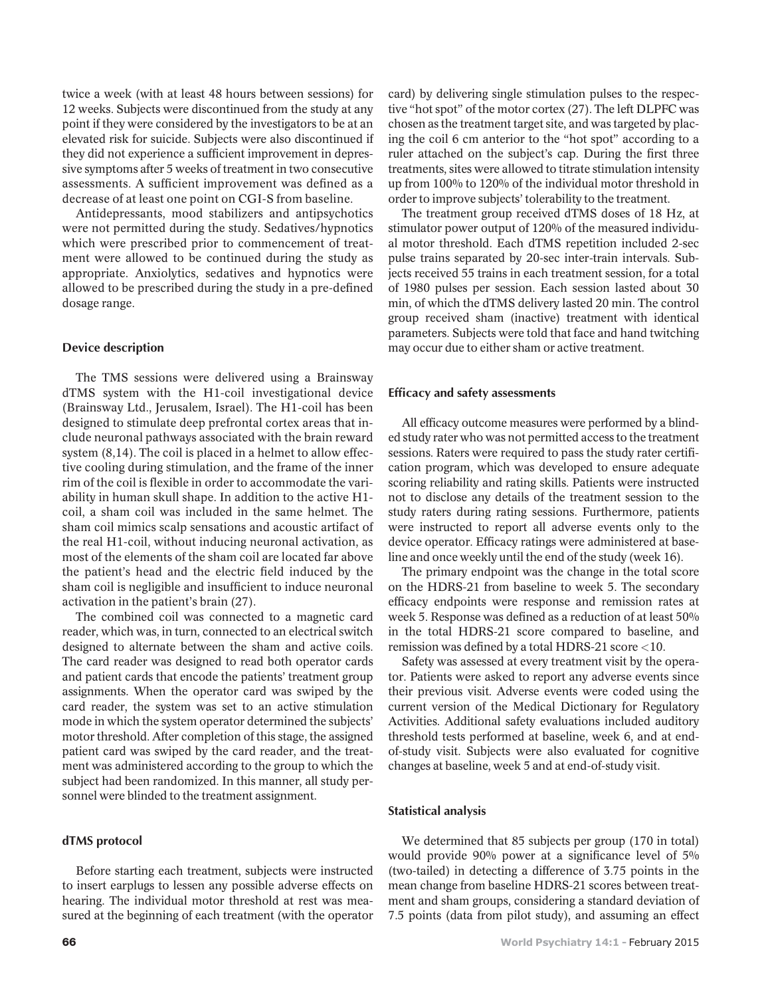twice a week (with at least 48 hours between sessions) for 12 weeks. Subjects were discontinued from the study at any point if they were considered by the investigators to be at an elevated risk for suicide. Subjects were also discontinued if they did not experience a sufficient improvement in depressive symptoms after 5 weeks of treatment in two consecutive assessments. A sufficient improvement was defined as a decrease of at least one point on CGI-S from baseline.

Antidepressants, mood stabilizers and antipsychotics were not permitted during the study. Sedatives/hypnotics which were prescribed prior to commencement of treatment were allowed to be continued during the study as appropriate. Anxiolytics, sedatives and hypnotics were allowed to be prescribed during the study in a pre-defined dosage range.

## Device description

The TMS sessions were delivered using a Brainsway dTMS system with the H1-coil investigational device (Brainsway Ltd., Jerusalem, Israel). The H1-coil has been designed to stimulate deep prefrontal cortex areas that include neuronal pathways associated with the brain reward system (8,14). The coil is placed in a helmet to allow effective cooling during stimulation, and the frame of the inner rim of the coil is flexible in order to accommodate the variability in human skull shape. In addition to the active H1 coil, a sham coil was included in the same helmet. The sham coil mimics scalp sensations and acoustic artifact of the real H1-coil, without inducing neuronal activation, as most of the elements of the sham coil are located far above the patient's head and the electric field induced by the sham coil is negligible and insufficient to induce neuronal activation in the patient's brain (27).

The combined coil was connected to a magnetic card reader, which was, in turn, connected to an electrical switch designed to alternate between the sham and active coils. The card reader was designed to read both operator cards and patient cards that encode the patients' treatment group assignments. When the operator card was swiped by the card reader, the system was set to an active stimulation mode in which the system operator determined the subjects' motor threshold. After completion of this stage, the assigned patient card was swiped by the card reader, and the treatment was administered according to the group to which the subject had been randomized. In this manner, all study personnel were blinded to the treatment assignment.

#### dTMS protocol

Before starting each treatment, subjects were instructed to insert earplugs to lessen any possible adverse effects on hearing. The individual motor threshold at rest was measured at the beginning of each treatment (with the operator card) by delivering single stimulation pulses to the respective "hot spot" of the motor cortex (27). The left DLPFC was chosen as the treatment target site, and was targeted by placing the coil 6 cm anterior to the "hot spot" according to a ruler attached on the subject's cap. During the first three treatments, sites were allowed to titrate stimulation intensity up from 100% to 120% of the individual motor threshold in order to improve subjects' tolerability to the treatment.

The treatment group received dTMS doses of 18 Hz, at stimulator power output of 120% of the measured individual motor threshold. Each dTMS repetition included 2-sec pulse trains separated by 20-sec inter-train intervals. Subjects received 55 trains in each treatment session, for a total of 1980 pulses per session. Each session lasted about 30 min, of which the dTMS delivery lasted 20 min. The control group received sham (inactive) treatment with identical parameters. Subjects were told that face and hand twitching may occur due to either sham or active treatment.

#### Efficacy and safety assessments

All efficacy outcome measures were performed by a blinded study rater who was not permitted access to the treatment sessions. Raters were required to pass the study rater certification program, which was developed to ensure adequate scoring reliability and rating skills. Patients were instructed not to disclose any details of the treatment session to the study raters during rating sessions. Furthermore, patients were instructed to report all adverse events only to the device operator. Efficacy ratings were administered at baseline and once weekly until the end of the study (week 16).

The primary endpoint was the change in the total score on the HDRS-21 from baseline to week 5. The secondary efficacy endpoints were response and remission rates at week 5. Response was defined as a reduction of at least 50% in the total HDRS-21 score compared to baseline, and remission was defined by a total HDRS-21 score <10.

Safety was assessed at every treatment visit by the operator. Patients were asked to report any adverse events since their previous visit. Adverse events were coded using the current version of the Medical Dictionary for Regulatory Activities. Additional safety evaluations included auditory threshold tests performed at baseline, week 6, and at endof-study visit. Subjects were also evaluated for cognitive changes at baseline, week 5 and at end-of-study visit.

## Statistical analysis

We determined that 85 subjects per group (170 in total) would provide 90% power at a significance level of 5% (two-tailed) in detecting a difference of 3.75 points in the mean change from baseline HDRS-21 scores between treatment and sham groups, considering a standard deviation of 7.5 points (data from pilot study), and assuming an effect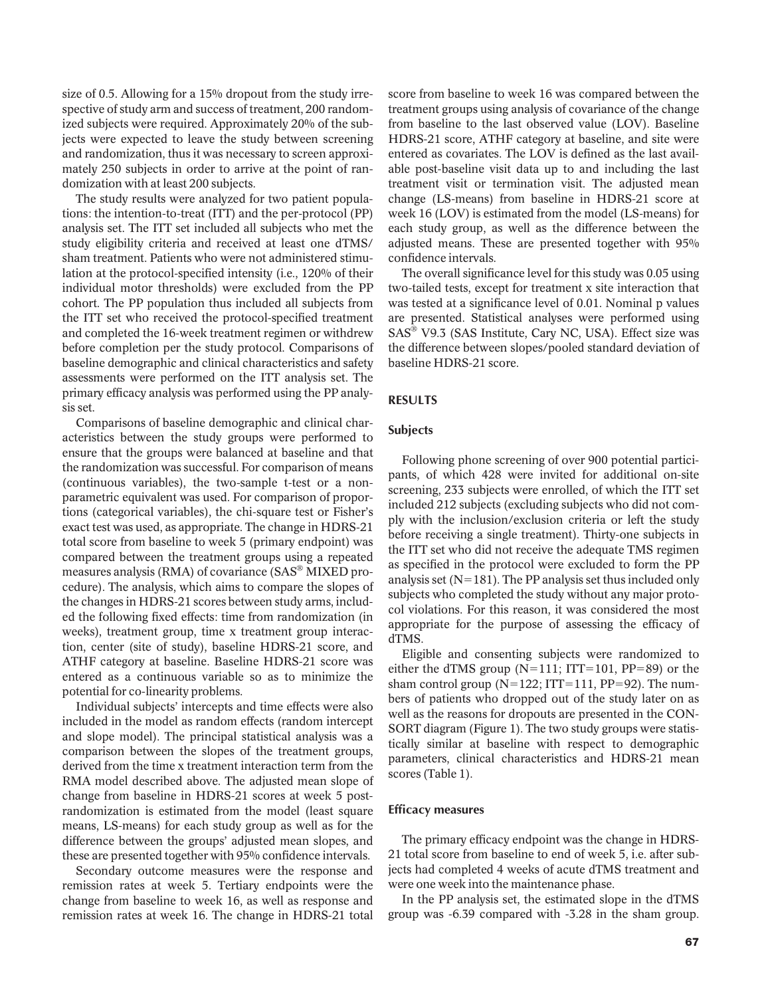size of 0.5. Allowing for a 15% dropout from the study irrespective of study arm and success of treatment, 200 randomized subjects were required. Approximately 20% of the subjects were expected to leave the study between screening and randomization, thus it was necessary to screen approximately 250 subjects in order to arrive at the point of randomization with at least 200 subjects.

The study results were analyzed for two patient populations: the intention-to-treat (ITT) and the per-protocol (PP) analysis set. The ITT set included all subjects who met the study eligibility criteria and received at least one dTMS/ sham treatment. Patients who were not administered stimulation at the protocol-specified intensity (i.e., 120% of their individual motor thresholds) were excluded from the PP cohort. The PP population thus included all subjects from the ITT set who received the protocol-specified treatment and completed the 16-week treatment regimen or withdrew before completion per the study protocol. Comparisons of baseline demographic and clinical characteristics and safety assessments were performed on the ITT analysis set. The primary efficacy analysis was performed using the PP analysis set.

Comparisons of baseline demographic and clinical characteristics between the study groups were performed to ensure that the groups were balanced at baseline and that the randomization was successful. For comparison of means (continuous variables), the two-sample t-test or a nonparametric equivalent was used. For comparison of proportions (categorical variables), the chi-square test or Fisher's exact test was used, as appropriate. The change in HDRS-21 total score from baseline to week 5 (primary endpoint) was compared between the treatment groups using a repeated measures analysis (RMA) of covariance (SAS $^\circledR$  MIXED procedure). The analysis, which aims to compare the slopes of the changes in HDRS-21 scores between study arms, included the following fixed effects: time from randomization (in weeks), treatment group, time x treatment group interaction, center (site of study), baseline HDRS-21 score, and ATHF category at baseline. Baseline HDRS-21 score was entered as a continuous variable so as to minimize the potential for co-linearity problems.

Individual subjects' intercepts and time effects were also included in the model as random effects (random intercept and slope model). The principal statistical analysis was a comparison between the slopes of the treatment groups, derived from the time x treatment interaction term from the RMA model described above. The adjusted mean slope of change from baseline in HDRS-21 scores at week 5 postrandomization is estimated from the model (least square means, LS-means) for each study group as well as for the difference between the groups' adjusted mean slopes, and these are presented together with 95% confidence intervals.

Secondary outcome measures were the response and remission rates at week 5. Tertiary endpoints were the change from baseline to week 16, as well as response and remission rates at week 16. The change in HDRS-21 total score from baseline to week 16 was compared between the treatment groups using analysis of covariance of the change from baseline to the last observed value (LOV). Baseline HDRS-21 score, ATHF category at baseline, and site were entered as covariates. The LOV is defined as the last available post-baseline visit data up to and including the last treatment visit or termination visit. The adjusted mean change (LS-means) from baseline in HDRS-21 score at week 16 (LOV) is estimated from the model (LS-means) for each study group, as well as the difference between the adjusted means. These are presented together with 95% confidence intervals.

The overall significance level for this study was 0.05 using two-tailed tests, except for treatment x site interaction that was tested at a significance level of 0.01. Nominal p values are presented. Statistical analyses were performed using SAS<sup>®</sup> V9.3 (SAS Institute, Cary NC, USA). Effect size was the difference between slopes/pooled standard deviation of baseline HDRS-21 score.

# RESULTS

# Subjects

Following phone screening of over 900 potential participants, of which 428 were invited for additional on-site screening, 233 subjects were enrolled, of which the ITT set included 212 subjects (excluding subjects who did not comply with the inclusion/exclusion criteria or left the study before receiving a single treatment). Thirty-one subjects in the ITT set who did not receive the adequate TMS regimen as specified in the protocol were excluded to form the PP analysis set ( $N=181$ ). The PP analysis set thus included only subjects who completed the study without any major protocol violations. For this reason, it was considered the most appropriate for the purpose of assessing the efficacy of dTMS.

Eligible and consenting subjects were randomized to either the dTMS group ( $N=111$ ; ITT=101, PP=89) or the sham control group ( $N=122$ ; ITT=111, PP=92). The numbers of patients who dropped out of the study later on as well as the reasons for dropouts are presented in the CON-SORT diagram (Figure 1). The two study groups were statistically similar at baseline with respect to demographic parameters, clinical characteristics and HDRS-21 mean scores (Table 1).

#### Efficacy measures

The primary efficacy endpoint was the change in HDRS-21 total score from baseline to end of week 5, i.e. after subjects had completed 4 weeks of acute dTMS treatment and were one week into the maintenance phase.

In the PP analysis set, the estimated slope in the dTMS group was -6.39 compared with -3.28 in the sham group.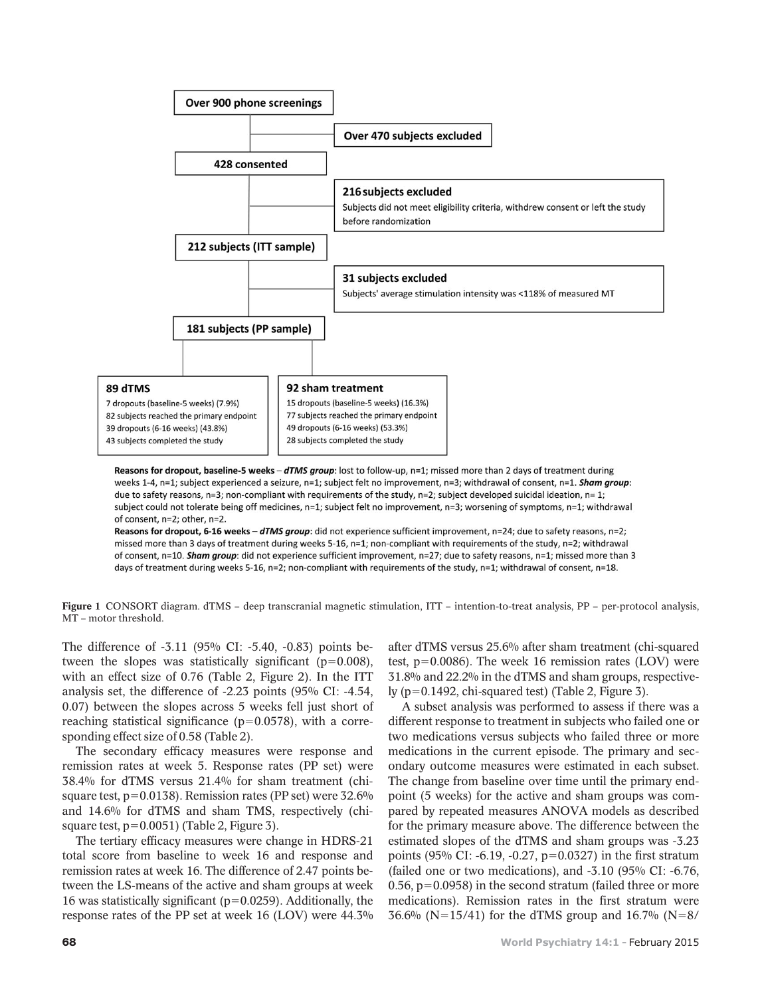

Reasons for dropout, baseline-5 weeks - dTMS group: lost to follow-up, n=1; missed more than 2 days of treatment during weeks 1-4, n=1; subject experienced a seizure, n=1; subject felt no improvement, n=3; withdrawal of consent, n=1. Sham group: due to safety reasons, n=3; non-compliant with requirements of the study, n=2; subject developed suicidal ideation, n=1; subject could not tolerate being off medicines, n=1; subject felt no improvement, n=3; worsening of symptoms, n=1; withdrawal of consent, n=2; other, n=2.

Reasons for dropout, 6-16 weeks - dTMS group: did not experience sufficient improvement, n=24; due to safety reasons, n=2; missed more than 3 days of treatment during weeks 5-16, n=1; non-compliant with requirements of the study, n=2; withdrawal of consent, n=10. Sham group: did not experience sufficient improvement, n=27; due to safety reasons, n=1; missed more than 3 days of treatment during weeks 5-16, n=2; non-compliant with requirements of the study, n=1; withdrawal of consent, n=18.

Figure 1 CONSORT diagram. dTMS – deep transcranial magnetic stimulation, ITT – intention-to-treat analysis, PP – per-protocol analysis, MT – motor threshold.

The difference of -3.11 (95% CI: -5.40, -0.83) points between the slopes was statistically significant ( $p=0.008$ ), with an effect size of 0.76 (Table 2, Figure 2). In the ITT analysis set, the difference of -2.23 points (95% CI: -4.54, 0.07) between the slopes across 5 weeks fell just short of reaching statistical significance ( $p=0.0578$ ), with a corresponding effect size of 0.58 (Table 2).

The secondary efficacy measures were response and remission rates at week 5. Response rates (PP set) were 38.4% for dTMS versus 21.4% for sham treatment (chisquare test,  $p=0.0138$ . Remission rates (PP set) were  $32.6\%$ and 14.6% for dTMS and sham TMS, respectively (chisquare test,  $p=0.0051$ ) (Table 2, Figure 3).

The tertiary efficacy measures were change in HDRS-21 total score from baseline to week 16 and response and remission rates at week 16. The difference of 2.47 points between the LS-means of the active and sham groups at week 16 was statistically significant ( $p=0.0259$ ). Additionally, the response rates of the PP set at week 16 (LOV) were 44.3%

after dTMS versus 25.6% after sham treatment (chi-squared test,  $p=0.0086$ ). The week 16 remission rates (LOV) were 31.8% and 22.2% in the dTMS and sham groups, respectively ( $p=0.1492$ , chi-squared test) (Table 2, Figure 3).

A subset analysis was performed to assess if there was a different response to treatment in subjects who failed one or two medications versus subjects who failed three or more medications in the current episode. The primary and secondary outcome measures were estimated in each subset. The change from baseline over time until the primary endpoint (5 weeks) for the active and sham groups was compared by repeated measures ANOVA models as described for the primary measure above. The difference between the estimated slopes of the dTMS and sham groups was -3.23 points (95% CI: -6.19, -0.27,  $p=0.0327$ ) in the first stratum (failed one or two medications), and -3.10 (95% CI: -6.76, 0.56,  $p=0.0958$ ) in the second stratum (failed three or more medications). Remission rates in the first stratum were 36.6% (N=15/41) for the dTMS group and 16.7% (N=8/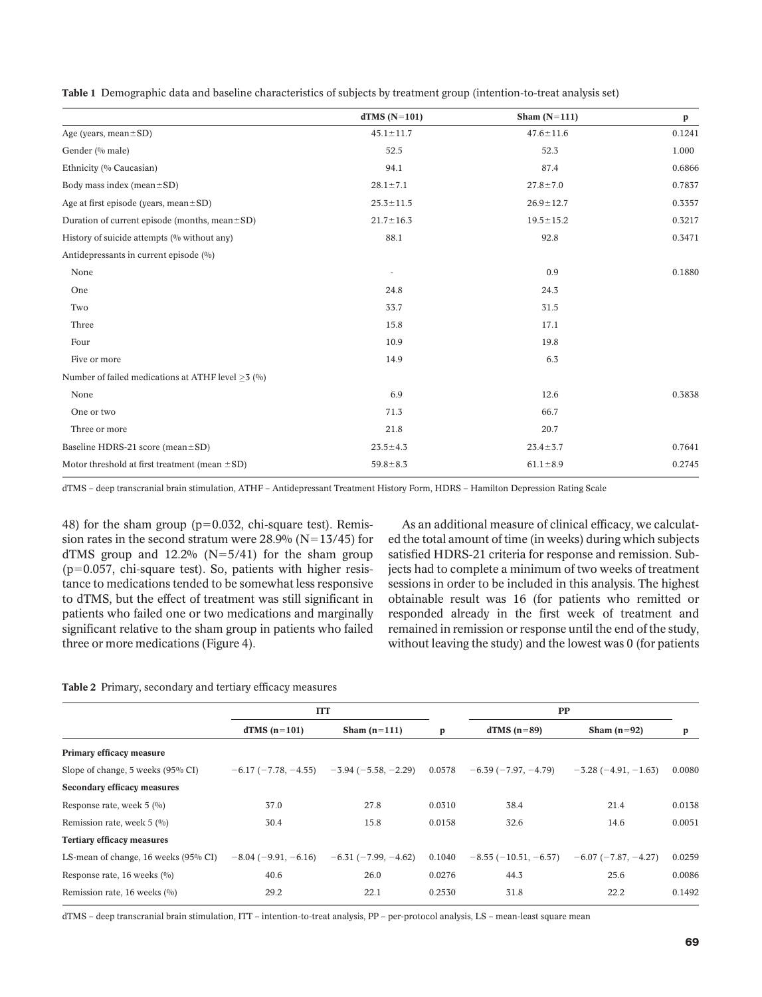| Table 1 Demographic data and baseline characteristics of subjects by treatment group (intention-to-treat analysis set) |  |  |  |  |  |  |
|------------------------------------------------------------------------------------------------------------------------|--|--|--|--|--|--|
|------------------------------------------------------------------------------------------------------------------------|--|--|--|--|--|--|

|                                                         | $dTMS(N=101)$            | Sham $(N=111)$  | p      |
|---------------------------------------------------------|--------------------------|-----------------|--------|
| Age (years, mean $\pm$ SD)                              | $45.1 \pm 11.7$          | $47.6 \pm 11.6$ | 0.1241 |
| Gender (% male)                                         | 52.5                     | 52.3            | 1.000  |
| Ethnicity (% Caucasian)                                 | 94.1                     | 87.4            | 0.6866 |
| Body mass index (mean $\pm$ SD)                         | $28.1 \pm 7.1$           | $27.8 \pm 7.0$  | 0.7837 |
| Age at first episode (years, mean $\pm$ SD)             | $25.3 \pm 11.5$          | $26.9 \pm 12.7$ | 0.3357 |
| Duration of current episode (months, mean $\pm$ SD)     | $21.7 \pm 16.3$          | $19.5 \pm 15.2$ | 0.3217 |
| History of suicide attempts (% without any)             | 88.1                     | 92.8            | 0.3471 |
| Antidepressants in current episode (%)                  |                          |                 |        |
| None                                                    | $\overline{\phantom{a}}$ | 0.9             | 0.1880 |
| One                                                     | 24.8                     | 24.3            |        |
| Two                                                     | 33.7                     | 31.5            |        |
| Three                                                   | 15.8                     | 17.1            |        |
| Four                                                    | 10.9                     | 19.8            |        |
| Five or more                                            | 14.9                     | 6.3             |        |
| Number of failed medications at ATHF level $\geq$ 3 (%) |                          |                 |        |
| None                                                    | 6.9                      | 12.6            | 0.3838 |
| One or two                                              | 71.3                     | 66.7            |        |
| Three or more                                           | 21.8                     | 20.7            |        |
| Baseline HDRS-21 score (mean±SD)                        | $23.5 \pm 4.3$           | $23.4 \pm 3.7$  | 0.7641 |
| Motor threshold at first treatment (mean $\pm$ SD)      | $59.8 \pm 8.3$           | $61.1 \pm 8.9$  | 0.2745 |
|                                                         |                          |                 |        |

dTMS – deep transcranial brain stimulation, ATHF – Antidepressant Treatment History Form, HDRS – Hamilton Depression Rating Scale

48) for the sham group ( $p=0.032$ , chi-square test). Remission rates in the second stratum were  $28.9%$  (N=13/45) for dTMS group and  $12.2\%$  (N=5/41) for the sham group  $(p=0.057, chi$ -square test). So, patients with higher resistance to medications tended to be somewhat less responsive to dTMS, but the effect of treatment was still significant in patients who failed one or two medications and marginally significant relative to the sham group in patients who failed three or more medications (Figure 4).

As an additional measure of clinical efficacy, we calculated the total amount of time (in weeks) during which subjects satisfied HDRS-21 criteria for response and remission. Subjects had to complete a minimum of two weeks of treatment sessions in order to be included in this analysis. The highest obtainable result was 16 (for patients who remitted or responded already in the first week of treatment and remained in remission or response until the end of the study, without leaving the study) and the lowest was 0 (for patients

# Table 2 Primary, secondary and tertiary efficacy measures

|                                          | <b>ITT</b>           |                                                             |        | PP                    |                               |        |
|------------------------------------------|----------------------|-------------------------------------------------------------|--------|-----------------------|-------------------------------|--------|
|                                          | $dTMS(n=101)$        | Sham $(n=111)$                                              | p      | $dTMS(n=89)$          | Sham $(n=92)$                 | p      |
| Primary efficacy measure                 |                      |                                                             |        |                       |                               |        |
| Slope of change, 5 weeks (95% CI)        |                      | $-6.17$ ( $-7.78$ , $-4.55$ ) $-3.94$ ( $-5.58$ , $-2.29$ ) | 0.0578 | $-6.39(-7.97, -4.79)$ | $-3.28(-4.91, -1.63)$         | 0.0080 |
| <b>Secondary efficacy measures</b>       |                      |                                                             |        |                       |                               |        |
| Response rate, week $5 \frac{0}{0}$      | 37.0                 | 27.8                                                        | 0.0310 | 38.4                  | 21.4                          | 0.0138 |
| Remission rate, week $5 \frac{(\%)}{\ }$ | 30.4                 | 15.8                                                        | 0.0158 | 32.6                  | 14.6                          | 0.0051 |
| <b>Tertiary efficacy measures</b>        |                      |                                                             |        |                       |                               |        |
| LS-mean of change, 16 weeks (95% CI)     | $-8.04(-9.91,-6.16)$ | $-6.31(-7.99, -4.62)$                                       | 0.1040 | $-8.55(-10.51,-6.57)$ | $-6.07$ ( $-7.87$ , $-4.27$ ) | 0.0259 |
| Response rate, 16 weeks $(0/0)$          | 40.6                 | 26.0                                                        | 0.0276 | 44.3                  | 25.6                          | 0.0086 |
| Remission rate, 16 weeks (%)             | 29.2                 | 22.1                                                        | 0.2530 | 31.8                  | 22.2                          | 0.1492 |

dTMS – deep transcranial brain stimulation, ITT – intention-to-treat analysis, PP – per-protocol analysis, LS – mean-least square mean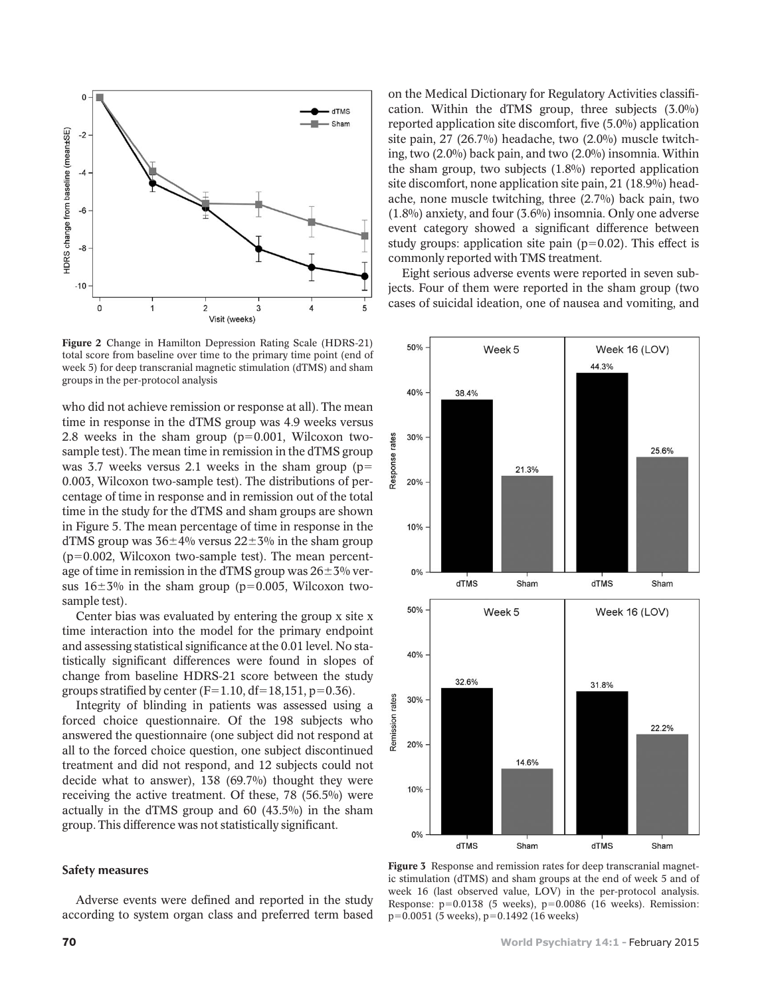

Figure 2 Change in Hamilton Depression Rating Scale (HDRS-21) total score from baseline over time to the primary time point (end of week 5) for deep transcranial magnetic stimulation (dTMS) and sham groups in the per-protocol analysis

who did not achieve remission or response at all). The mean time in response in the dTMS group was 4.9 weeks versus 2.8 weeks in the sham group  $(p=0.001, Wilcoxon$  twosample test). The mean time in remission in the dTMS group was 3.7 weeks versus 2.1 weeks in the sham group ( $p=$ 0.003, Wilcoxon two-sample test). The distributions of percentage of time in response and in remission out of the total time in the study for the dTMS and sham groups are shown in Figure 5. The mean percentage of time in response in the dTMS group was  $36\pm4\%$  versus  $22\pm3\%$  in the sham group  $(p=0.002,$  Wilcoxon two-sample test). The mean percentage of time in remission in the dTMS group was  $26\pm3\%$  versus  $16\pm3\%$  in the sham group (p=0.005, Wilcoxon twosample test).

Center bias was evaluated by entering the group x site x time interaction into the model for the primary endpoint and assessing statistical significance at the 0.01 level. No statistically significant differences were found in slopes of change from baseline HDRS-21 score between the study groups stratified by center ( $F=1.10$ ,  $df=18,151$ ,  $p=0.36$ ).

Integrity of blinding in patients was assessed using a forced choice questionnaire. Of the 198 subjects who answered the questionnaire (one subject did not respond at all to the forced choice question, one subject discontinued treatment and did not respond, and 12 subjects could not decide what to answer), 138 (69.7%) thought they were receiving the active treatment. Of these, 78 (56.5%) were actually in the dTMS group and 60 (43.5%) in the sham group. This difference was not statistically significant.

## Safety measures

Adverse events were defined and reported in the study according to system organ class and preferred term based on the Medical Dictionary for Regulatory Activities classification. Within the dTMS group, three subjects (3.0%) reported application site discomfort, five (5.0%) application site pain, 27 (26.7%) headache, two (2.0%) muscle twitching, two (2.0%) back pain, and two (2.0%) insomnia. Within the sham group, two subjects (1.8%) reported application site discomfort, none application site pain, 21 (18.9%) headache, none muscle twitching, three (2.7%) back pain, two (1.8%) anxiety, and four (3.6%) insomnia. Only one adverse event category showed a significant difference between study groups: application site pain ( $p=0.02$ ). This effect is commonly reported with TMS treatment.

Eight serious adverse events were reported in seven subjects. Four of them were reported in the sham group (two cases of suicidal ideation, one of nausea and vomiting, and



Figure 3 Response and remission rates for deep transcranial magnetic stimulation (dTMS) and sham groups at the end of week 5 and of week 16 (last observed value, LOV) in the per-protocol analysis. Response:  $p=0.0138$  (5 weeks),  $p=0.0086$  (16 weeks). Remission:  $p=0.0051$  (5 weeks),  $p=0.1492$  (16 weeks)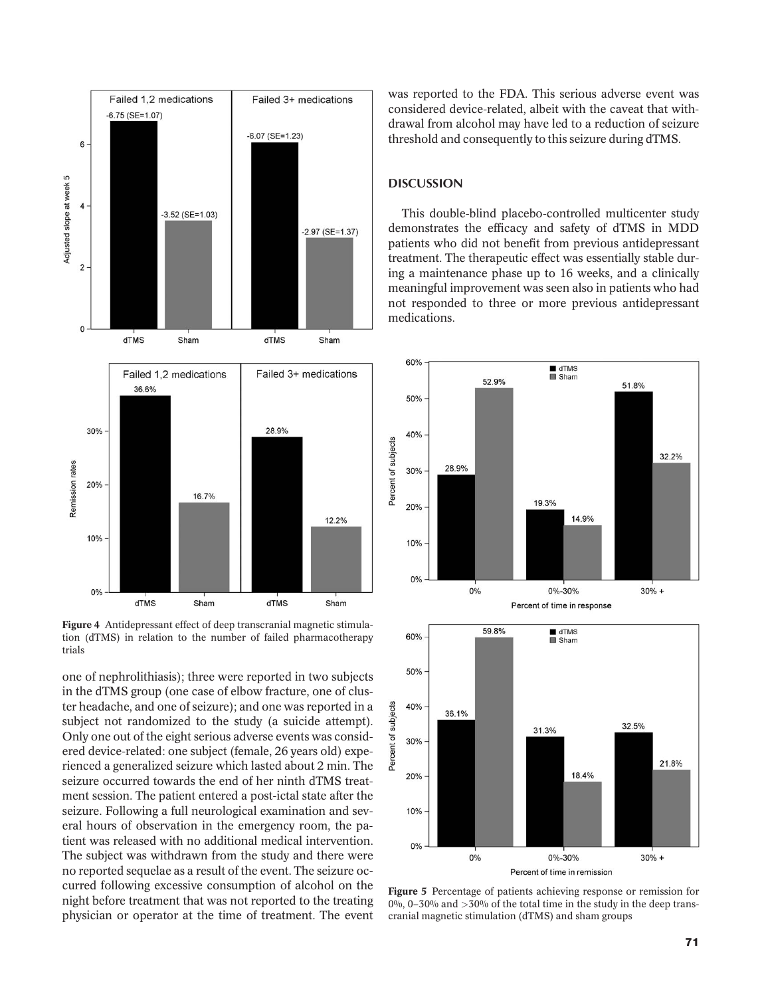

Figure 4 Antidepressant effect of deep transcranial magnetic stimulation (dTMS) in relation to the number of failed pharmacotherapy trials

one of nephrolithiasis); three were reported in two subjects in the dTMS group (one case of elbow fracture, one of cluster headache, and one of seizure); and one was reported in a subject not randomized to the study (a suicide attempt). Only one out of the eight serious adverse events was considered device-related: one subject (female, 26 years old) experienced a generalized seizure which lasted about 2 min. The seizure occurred towards the end of her ninth dTMS treatment session. The patient entered a post-ictal state after the seizure. Following a full neurological examination and several hours of observation in the emergency room, the patient was released with no additional medical intervention. The subject was withdrawn from the study and there were no reported sequelae as a result of the event. The seizure occurred following excessive consumption of alcohol on the night before treatment that was not reported to the treating physician or operator at the time of treatment. The event

was reported to the FDA. This serious adverse event was considered device-related, albeit with the caveat that withdrawal from alcohol may have led to a reduction of seizure threshold and consequently to this seizure during dTMS.

# **DISCUSSION**

This double-blind placebo-controlled multicenter study demonstrates the efficacy and safety of dTMS in MDD patients who did not benefit from previous antidepressant treatment. The therapeutic effect was essentially stable during a maintenance phase up to 16 weeks, and a clinically meaningful improvement was seen also in patients who had not responded to three or more previous antidepressant medications.





Figure 5 Percentage of patients achieving response or remission for 0%, 0–30% and  $>30\%$  of the total time in the study in the deep transcranial magnetic stimulation (dTMS) and sham groups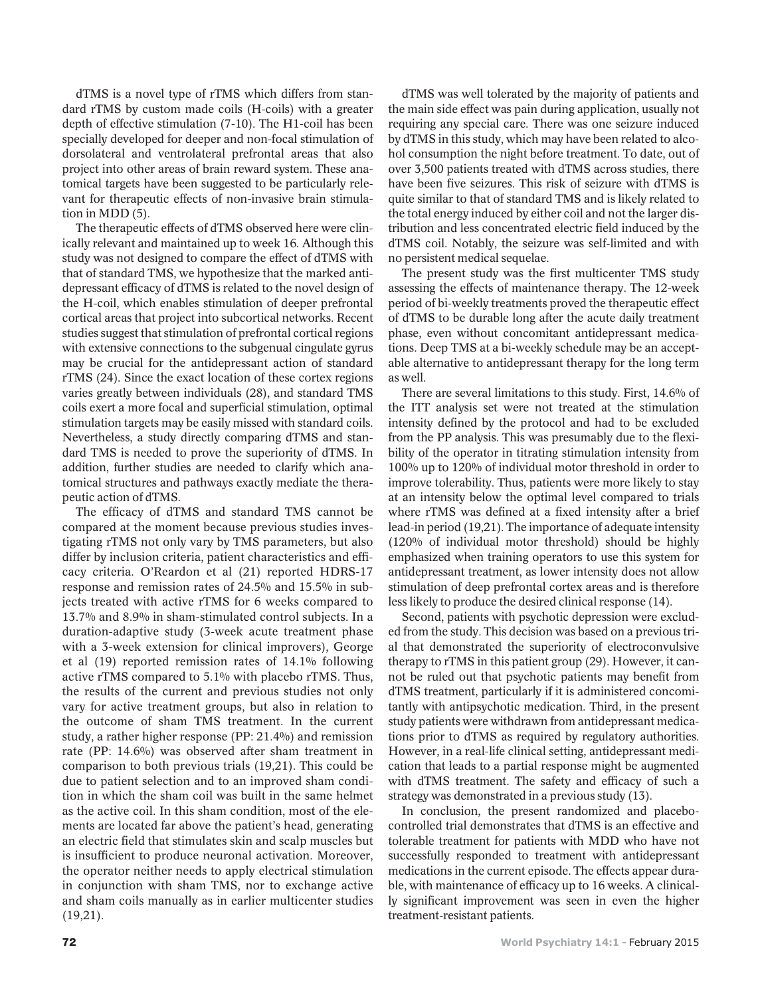dTMS is a novel type of rTMS which differs from standard rTMS by custom made coils (H-coils) with a greater depth of effective stimulation (7-10). The H1-coil has been specially developed for deeper and non-focal stimulation of dorsolateral and ventrolateral prefrontal areas that also project into other areas of brain reward system. These anatomical targets have been suggested to be particularly relevant for therapeutic effects of non-invasive brain stimulation in MDD (5).

The therapeutic effects of dTMS observed here were clinically relevant and maintained up to week 16. Although this study was not designed to compare the effect of dTMS with that of standard TMS, we hypothesize that the marked antidepressant efficacy of dTMS is related to the novel design of the H-coil, which enables stimulation of deeper prefrontal cortical areas that project into subcortical networks. Recent studies suggest that stimulation of prefrontal cortical regions with extensive connections to the subgenual cingulate gyrus may be crucial for the antidepressant action of standard rTMS (24). Since the exact location of these cortex regions varies greatly between individuals (28), and standard TMS coils exert a more focal and superficial stimulation, optimal stimulation targets may be easily missed with standard coils. Nevertheless, a study directly comparing dTMS and standard TMS is needed to prove the superiority of dTMS. In addition, further studies are needed to clarify which anatomical structures and pathways exactly mediate the therapeutic action of dTMS.

The efficacy of dTMS and standard TMS cannot be compared at the moment because previous studies investigating rTMS not only vary by TMS parameters, but also differ by inclusion criteria, patient characteristics and efficacy criteria. O'Reardon et al (21) reported HDRS-17 response and remission rates of 24.5% and 15.5% in subjects treated with active rTMS for 6 weeks compared to 13.7% and 8.9% in sham-stimulated control subjects. In a duration-adaptive study (3-week acute treatment phase with a 3-week extension for clinical improvers), George et al (19) reported remission rates of 14.1% following active rTMS compared to 5.1% with placebo rTMS. Thus, the results of the current and previous studies not only vary for active treatment groups, but also in relation to the outcome of sham TMS treatment. In the current study, a rather higher response (PP: 21.4%) and remission rate (PP: 14.6%) was observed after sham treatment in comparison to both previous trials (19,21). This could be due to patient selection and to an improved sham condition in which the sham coil was built in the same helmet as the active coil. In this sham condition, most of the elements are located far above the patient's head, generating an electric field that stimulates skin and scalp muscles but is insufficient to produce neuronal activation. Moreover, the operator neither needs to apply electrical stimulation in conjunction with sham TMS, nor to exchange active and sham coils manually as in earlier multicenter studies (19,21).

dTMS was well tolerated by the majority of patients and the main side effect was pain during application, usually not requiring any special care. There was one seizure induced by dTMS in this study, which may have been related to alcohol consumption the night before treatment. To date, out of over 3,500 patients treated with dTMS across studies, there have been five seizures. This risk of seizure with dTMS is quite similar to that of standard TMS and is likely related to the total energy induced by either coil and not the larger distribution and less concentrated electric field induced by the dTMS coil. Notably, the seizure was self-limited and with no persistent medical sequelae.

The present study was the first multicenter TMS study assessing the effects of maintenance therapy. The 12-week period of bi-weekly treatments proved the therapeutic effect of dTMS to be durable long after the acute daily treatment phase, even without concomitant antidepressant medications. Deep TMS at a bi-weekly schedule may be an acceptable alternative to antidepressant therapy for the long term as well.

There are several limitations to this study. First, 14.6% of the ITT analysis set were not treated at the stimulation intensity defined by the protocol and had to be excluded from the PP analysis. This was presumably due to the flexibility of the operator in titrating stimulation intensity from 100% up to 120% of individual motor threshold in order to improve tolerability. Thus, patients were more likely to stay at an intensity below the optimal level compared to trials where rTMS was defined at a fixed intensity after a brief lead-in period (19,21). The importance of adequate intensity (120% of individual motor threshold) should be highly emphasized when training operators to use this system for antidepressant treatment, as lower intensity does not allow stimulation of deep prefrontal cortex areas and is therefore less likely to produce the desired clinical response (14).

Second, patients with psychotic depression were excluded from the study. This decision was based on a previous trial that demonstrated the superiority of electroconvulsive therapy to rTMS in this patient group (29). However, it cannot be ruled out that psychotic patients may benefit from dTMS treatment, particularly if it is administered concomitantly with antipsychotic medication. Third, in the present study patients were withdrawn from antidepressant medications prior to dTMS as required by regulatory authorities. However, in a real-life clinical setting, antidepressant medication that leads to a partial response might be augmented with dTMS treatment. The safety and efficacy of such a strategy was demonstrated in a previous study (13).

In conclusion, the present randomized and placebocontrolled trial demonstrates that dTMS is an effective and tolerable treatment for patients with MDD who have not successfully responded to treatment with antidepressant medications in the current episode. The effects appear durable, with maintenance of efficacy up to 16 weeks. A clinically significant improvement was seen in even the higher treatment-resistant patients.